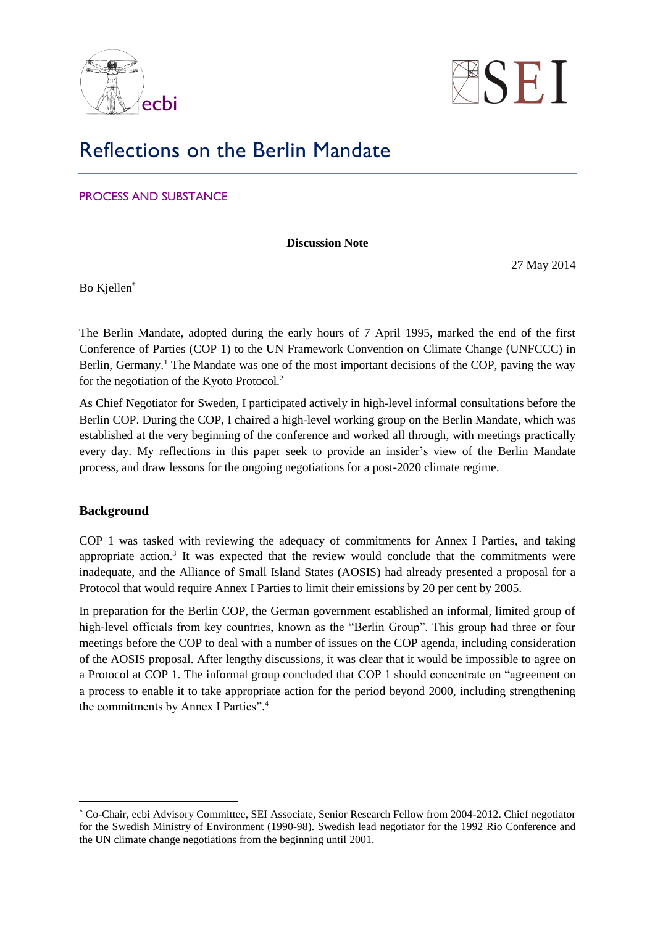



# Reflections on the Berlin Mandate

PROCESS AND SUBSTANCE

**Discussion Note**

27 May 2014

Bo Kjellen\*

The Berlin Mandate, adopted during the early hours of 7 April 1995, marked the end of the first Conference of Parties (COP 1) to the UN Framework Convention on Climate Change (UNFCCC) in Berlin, Germany.<sup>1</sup> The Mandate was one of the most important decisions of the COP, paving the way for the negotiation of the Kyoto Protocol.<sup>2</sup>

As Chief Negotiator for Sweden, I participated actively in high-level informal consultations before the Berlin COP. During the COP, I chaired a high-level working group on the Berlin Mandate, which was established at the very beginning of the conference and worked all through, with meetings practically every day. My reflections in this paper seek to provide an insider's view of the Berlin Mandate process, and draw lessons for the ongoing negotiations for a post-2020 climate regime.

#### **Background**

<u>.</u>

COP 1 was tasked with reviewing the adequacy of commitments for Annex I Parties, and taking appropriate action.<sup>3</sup> It was expected that the review would conclude that the commitments were inadequate, and the Alliance of Small Island States (AOSIS) had already presented a proposal for a Protocol that would require Annex I Parties to limit their emissions by 20 per cent by 2005.

In preparation for the Berlin COP, the German government established an informal, limited group of high-level officials from key countries, known as the "Berlin Group". This group had three or four meetings before the COP to deal with a number of issues on the COP agenda, including consideration of the AOSIS proposal. After lengthy discussions, it was clear that it would be impossible to agree on a Protocol at COP 1. The informal group concluded that COP 1 should concentrate on "agreement on a process to enable it to take appropriate action for the period beyond 2000, including strengthening the commitments by Annex I Parties". 4

<sup>\*</sup> Co-Chair, ecbi Advisory Committee, SEI Associate, Senior Research Fellow from 2004-2012. Chief negotiator for the Swedish Ministry of Environment (1990-98). Swedish lead negotiator for the 1992 Rio Conference and the UN climate change negotiations from the beginning until 2001.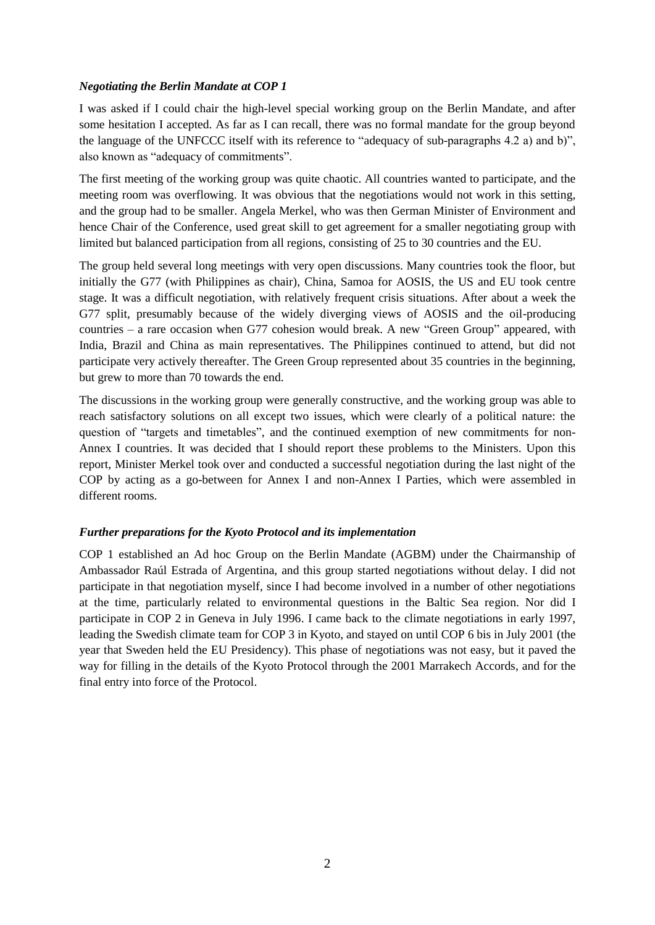#### *Negotiating the Berlin Mandate at COP 1*

I was asked if I could chair the high-level special working group on the Berlin Mandate, and after some hesitation I accepted. As far as I can recall, there was no formal mandate for the group beyond the language of the UNFCCC itself with its reference to "adequacy of sub-paragraphs 4.2 a) and b)", also known as "adequacy of commitments".

The first meeting of the working group was quite chaotic. All countries wanted to participate, and the meeting room was overflowing. It was obvious that the negotiations would not work in this setting, and the group had to be smaller. Angela Merkel, who was then German Minister of Environment and hence Chair of the Conference, used great skill to get agreement for a smaller negotiating group with limited but balanced participation from all regions, consisting of 25 to 30 countries and the EU.

The group held several long meetings with very open discussions. Many countries took the floor, but initially the G77 (with Philippines as chair), China, Samoa for AOSIS, the US and EU took centre stage. It was a difficult negotiation, with relatively frequent crisis situations. After about a week the G77 split, presumably because of the widely diverging views of AOSIS and the oil-producing countries – a rare occasion when G77 cohesion would break. A new "Green Group" appeared, with India, Brazil and China as main representatives. The Philippines continued to attend, but did not participate very actively thereafter. The Green Group represented about 35 countries in the beginning, but grew to more than 70 towards the end.

The discussions in the working group were generally constructive, and the working group was able to reach satisfactory solutions on all except two issues, which were clearly of a political nature: the question of "targets and timetables", and the continued exemption of new commitments for non-Annex I countries. It was decided that I should report these problems to the Ministers. Upon this report, Minister Merkel took over and conducted a successful negotiation during the last night of the COP by acting as a go-between for Annex I and non-Annex I Parties, which were assembled in different rooms.

#### *Further preparations for the Kyoto Protocol and its implementation*

COP 1 established an Ad hoc Group on the Berlin Mandate (AGBM) under the Chairmanship of Ambassador Raúl Estrada of Argentina, and this group started negotiations without delay. I did not participate in that negotiation myself, since I had become involved in a number of other negotiations at the time, particularly related to environmental questions in the Baltic Sea region. Nor did I participate in COP 2 in Geneva in July 1996. I came back to the climate negotiations in early 1997, leading the Swedish climate team for COP 3 in Kyoto, and stayed on until COP 6 bis in July 2001 (the year that Sweden held the EU Presidency). This phase of negotiations was not easy, but it paved the way for filling in the details of the Kyoto Protocol through the 2001 Marrakech Accords, and for the final entry into force of the Protocol.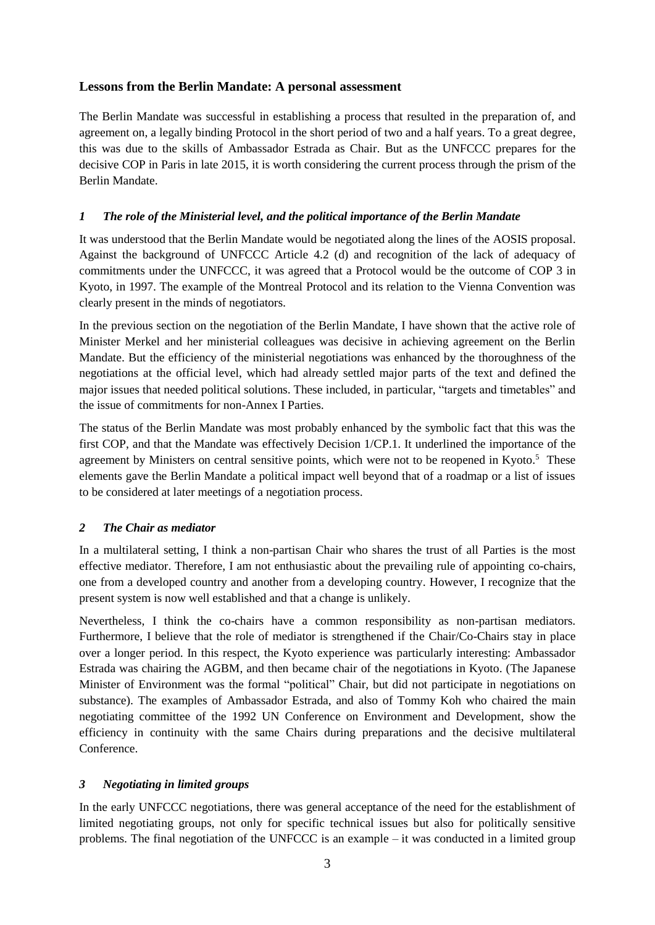## **Lessons from the Berlin Mandate: A personal assessment**

The Berlin Mandate was successful in establishing a process that resulted in the preparation of, and agreement on, a legally binding Protocol in the short period of two and a half years. To a great degree, this was due to the skills of Ambassador Estrada as Chair. But as the UNFCCC prepares for the decisive COP in Paris in late 2015, it is worth considering the current process through the prism of the Berlin Mandate.

### *1 The role of the Ministerial level, and the political importance of the Berlin Mandate*

It was understood that the Berlin Mandate would be negotiated along the lines of the AOSIS proposal. Against the background of UNFCCC Article 4.2 (d) and recognition of the lack of adequacy of commitments under the UNFCCC, it was agreed that a Protocol would be the outcome of COP 3 in Kyoto, in 1997. The example of the Montreal Protocol and its relation to the Vienna Convention was clearly present in the minds of negotiators.

In the previous section on the negotiation of the Berlin Mandate, I have shown that the active role of Minister Merkel and her ministerial colleagues was decisive in achieving agreement on the Berlin Mandate. But the efficiency of the ministerial negotiations was enhanced by the thoroughness of the negotiations at the official level, which had already settled major parts of the text and defined the major issues that needed political solutions. These included, in particular, "targets and timetables" and the issue of commitments for non-Annex I Parties.

The status of the Berlin Mandate was most probably enhanced by the symbolic fact that this was the first COP, and that the Mandate was effectively Decision 1/CP.1. It underlined the importance of the agreement by Ministers on central sensitive points, which were not to be reopened in Kyoto.<sup>5</sup> These elements gave the Berlin Mandate a political impact well beyond that of a roadmap or a list of issues to be considered at later meetings of a negotiation process.

#### *2 The Chair as mediator*

In a multilateral setting, I think a non-partisan Chair who shares the trust of all Parties is the most effective mediator. Therefore, I am not enthusiastic about the prevailing rule of appointing co-chairs, one from a developed country and another from a developing country. However, I recognize that the present system is now well established and that a change is unlikely.

Nevertheless, I think the co-chairs have a common responsibility as non-partisan mediators. Furthermore, I believe that the role of mediator is strengthened if the Chair/Co-Chairs stay in place over a longer period. In this respect, the Kyoto experience was particularly interesting: Ambassador Estrada was chairing the AGBM, and then became chair of the negotiations in Kyoto. (The Japanese Minister of Environment was the formal "political" Chair, but did not participate in negotiations on substance). The examples of Ambassador Estrada, and also of Tommy Koh who chaired the main negotiating committee of the 1992 UN Conference on Environment and Development, show the efficiency in continuity with the same Chairs during preparations and the decisive multilateral Conference.

## *3 Negotiating in limited groups*

In the early UNFCCC negotiations, there was general acceptance of the need for the establishment of limited negotiating groups, not only for specific technical issues but also for politically sensitive problems. The final negotiation of the UNFCCC is an example – it was conducted in a limited group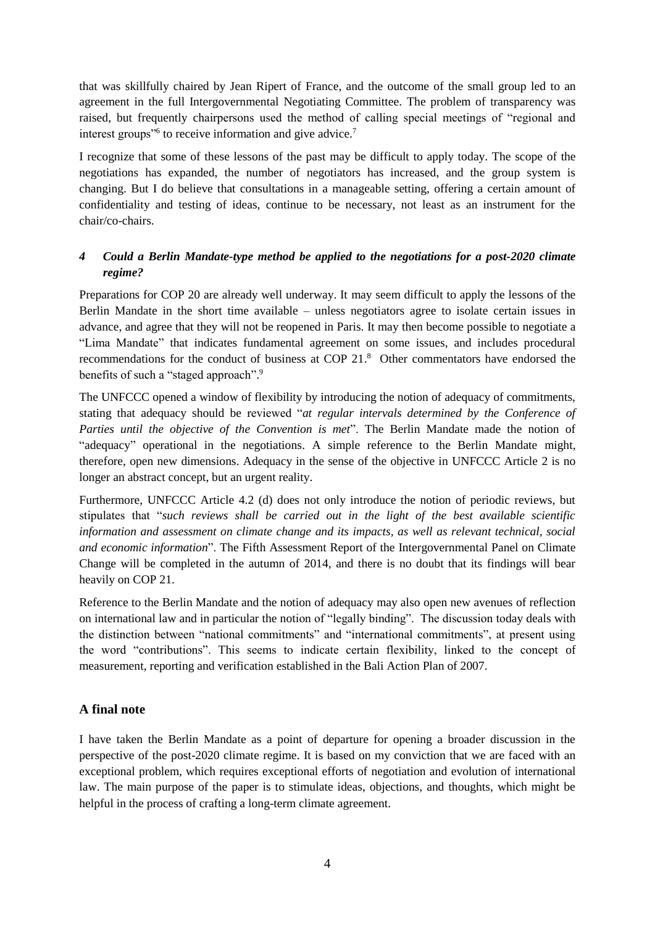that was skillfully chaired by Jean Ripert of France, and the outcome of the small group led to an agreement in the full Intergovernmental Negotiating Committee. The problem of transparency was raised, but frequently chairpersons used the method of calling special meetings of "regional and interest groups"<sup>6</sup> to receive information and give advice.<sup>7</sup>

I recognize that some of these lessons of the past may be difficult to apply today. The scope of the negotiations has expanded, the number of negotiators has increased, and the group system is changing. But I do believe that consultations in a manageable setting, offering a certain amount of confidentiality and testing of ideas, continue to be necessary, not least as an instrument for the chair/co-chairs.

## *4 Could a Berlin Mandate-type method be applied to the negotiations for a post-2020 climate regime?*

Preparations for COP 20 are already well underway. It may seem difficult to apply the lessons of the Berlin Mandate in the short time available – unless negotiators agree to isolate certain issues in advance, and agree that they will not be reopened in Paris. It may then become possible to negotiate a "Lima Mandate" that indicates fundamental agreement on some issues, and includes procedural recommendations for the conduct of business at COP 21. <sup>8</sup> Other commentators have endorsed the benefits of such a "staged approach".<sup>9</sup>

The UNFCCC opened a window of flexibility by introducing the notion of adequacy of commitments, stating that adequacy should be reviewed "*at regular intervals determined by the Conference of Parties until the objective of the Convention is met*". The Berlin Mandate made the notion of "adequacy" operational in the negotiations. A simple reference to the Berlin Mandate might, therefore, open new dimensions. Adequacy in the sense of the objective in UNFCCC Article 2 is no longer an abstract concept, but an urgent reality.

Furthermore, UNFCCC Article 4.2 (d) does not only introduce the notion of periodic reviews, but stipulates that "*such reviews shall be carried out in the light of the best available scientific information and assessment on climate change and its impacts, as well as relevant technical, social and economic information*". The Fifth Assessment Report of the Intergovernmental Panel on Climate Change will be completed in the autumn of 2014, and there is no doubt that its findings will bear heavily on COP 21.

Reference to the Berlin Mandate and the notion of adequacy may also open new avenues of reflection on international law and in particular the notion of "legally binding". The discussion today deals with the distinction between "national commitments" and "international commitments", at present using the word "contributions". This seems to indicate certain flexibility, linked to the concept of measurement, reporting and verification established in the Bali Action Plan of 2007.

#### **A final note**

I have taken the Berlin Mandate as a point of departure for opening a broader discussion in the perspective of the post-2020 climate regime. It is based on my conviction that we are faced with an exceptional problem, which requires exceptional efforts of negotiation and evolution of international law. The main purpose of the paper is to stimulate ideas, objections, and thoughts, which might be helpful in the process of crafting a long-term climate agreement.